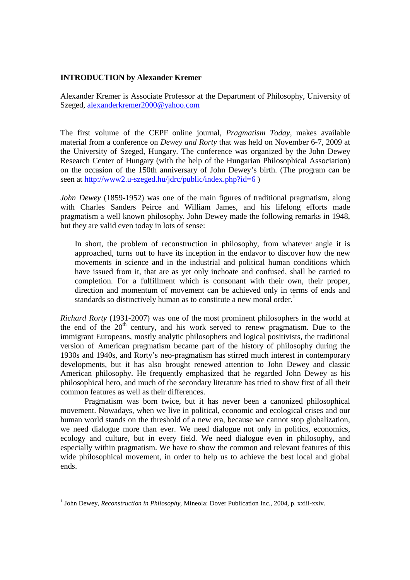## **INTRODUCTION by Alexander Kremer**

Alexander Kremer is Associate Professor at the Department of Philosophy, University of Szeged, alexanderkremer2000@yahoo.com

The first volume of the CEPF online journal, *Pragmatism Today,* makes available material from a conference on *Dewey and Rorty* that was held on November 6-7, 2009 at the University of Szeged, Hungary. The conference was organized by the John Dewey Research Center of Hungary (with the help of the Hungarian Philosophical Association) on the occasion of the 150th anniversary of John Dewey's birth. (The program can be seen at http://www2.u-szeged.hu/jdrc/public/index.php?id=6 )

*John Dewey* (1859-1952) was one of the main figures of traditional pragmatism, along with Charles Sanders Peirce and William James, and his lifelong efforts made pragmatism a well known philosophy. John Dewey made the following remarks in 1948, but they are valid even today in lots of sense:

In short, the problem of reconstruction in philosophy, from whatever angle it is approached, turns out to have its inception in the endavor to discover how the new movements in science and in the industrial and political human conditions which have issued from it, that are as yet only inchoate and confused, shall be carried to completion. For a fulfillment which is consonant with their own, their proper, direction and momentum of movement can be achieved only in terms of ends and standards so distinctively human as to constitute a new moral order.<sup>1</sup>

*Richard Rorty* (1931-2007) was one of the most prominent philosophers in the world at the end of the  $20<sup>th</sup>$  century, and his work served to renew pragmatism. Due to the immigrant Europeans, mostly analytic philosophers and logical positivists, the traditional version of American pragmatism became part of the history of philosophy during the 1930s and 1940s, and Rorty's neo-pragmatism has stirred much interest in contemporary developments, but it has also brought renewed attention to John Dewey and classic American philosophy. He frequently emphasized that he regarded John Dewey as his philosophical hero, and much of the secondary literature has tried to show first of all their common features as well as their differences.

 Pragmatism was born twice, but it has never been a canonized philosophical movement. Nowadays, when we live in political, economic and ecological crises and our human world stands on the threshold of a new era, because we cannot stop globalization, we need dialogue more than ever. We need dialogue not only in politics, economics, ecology and culture, but in every field. We need dialogue even in philosophy, and especially within pragmatism. We have to show the common and relevant features of this wide philosophical movement, in order to help us to achieve the best local and global ends.

-

<sup>&</sup>lt;sup>1</sup> John Dewey, *Reconstruction in Philosophy*, Mineola: Dover Publication Inc., 2004, p. xxiii-xxiv.